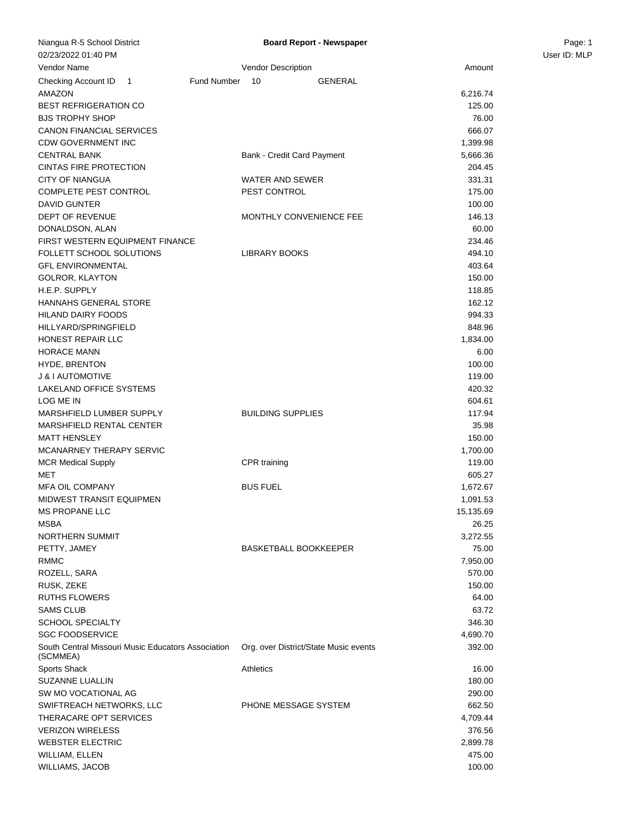| Niangua R-5 School District                        | <b>Board Report - Newspaper</b>       |           | Page: 1      |
|----------------------------------------------------|---------------------------------------|-----------|--------------|
| 02/23/2022 01:40 PM                                |                                       |           | User ID: MLP |
| Vendor Name                                        | Vendor Description                    | Amount    |              |
| Checking Account ID 1                              | Fund Number<br><b>GENERAL</b><br>10   |           |              |
| AMAZON                                             |                                       | 6,216.74  |              |
| <b>BEST REFRIGERATION CO</b>                       |                                       | 125.00    |              |
| <b>BJS TROPHY SHOP</b>                             |                                       | 76.00     |              |
| CANON FINANCIAL SERVICES                           |                                       | 666.07    |              |
| <b>CDW GOVERNMENT INC</b>                          |                                       | 1,399.98  |              |
| <b>CENTRAL BANK</b>                                | Bank - Credit Card Payment            | 5,666.36  |              |
| <b>CINTAS FIRE PROTECTION</b>                      |                                       | 204.45    |              |
| <b>CITY OF NIANGUA</b>                             | <b>WATER AND SEWER</b>                | 331.31    |              |
| COMPLETE PEST CONTROL                              | PEST CONTROL                          | 175.00    |              |
| <b>DAVID GUNTER</b>                                |                                       | 100.00    |              |
| DEPT OF REVENUE                                    | MONTHLY CONVENIENCE FEE               | 146.13    |              |
| DONALDSON, ALAN                                    |                                       | 60.00     |              |
| <b>FIRST WESTERN EQUIPMENT FINANCE</b>             |                                       | 234.46    |              |
| FOLLETT SCHOOL SOLUTIONS                           | <b>LIBRARY BOOKS</b>                  | 494.10    |              |
| <b>GFL ENVIRONMENTAL</b>                           |                                       | 403.64    |              |
| <b>GOLROR, KLAYTON</b>                             |                                       | 150.00    |              |
| H.E.P. SUPPLY                                      |                                       | 118.85    |              |
| <b>HANNAHS GENERAL STORE</b>                       |                                       | 162.12    |              |
| HILAND DAIRY FOODS                                 |                                       | 994.33    |              |
| HILLYARD/SPRINGFIELD                               |                                       | 848.96    |              |
| <b>HONEST REPAIR LLC</b>                           |                                       | 1,834.00  |              |
| <b>HORACE MANN</b>                                 |                                       | 6.00      |              |
| <b>HYDE, BRENTON</b>                               |                                       | 100.00    |              |
| J & I AUTOMOTIVE                                   |                                       | 119.00    |              |
| LAKELAND OFFICE SYSTEMS                            |                                       | 420.32    |              |
| LOG ME IN                                          |                                       | 604.61    |              |
| MARSHFIELD LUMBER SUPPLY                           | <b>BUILDING SUPPLIES</b>              | 117.94    |              |
| MARSHFIELD RENTAL CENTER                           |                                       | 35.98     |              |
| <b>MATT HENSLEY</b>                                |                                       | 150.00    |              |
| MCANARNEY THERAPY SERVIC                           |                                       | 1,700.00  |              |
| <b>MCR Medical Supply</b>                          | CPR training                          | 119.00    |              |
| MET                                                |                                       | 605.27    |              |
| <b>MFA OIL COMPANY</b>                             | <b>BUS FUEL</b>                       | 1,672.67  |              |
| MIDWEST TRANSIT EQUIPMEN                           |                                       | 1,091.53  |              |
| <b>MS PROPANE LLC</b>                              |                                       | 15,135.69 |              |
| MSBA                                               |                                       | 26.25     |              |
| NORTHERN SUMMIT                                    |                                       | 3,272.55  |              |
| PETTY, JAMEY                                       | <b>BASKETBALL BOOKKEEPER</b>          | 75.00     |              |
| RMMC                                               |                                       | 7,950.00  |              |
| ROZELL, SARA                                       |                                       | 570.00    |              |
| RUSK, ZEKE                                         |                                       | 150.00    |              |
| RUTHS FLOWERS                                      |                                       | 64.00     |              |
| <b>SAMS CLUB</b>                                   |                                       | 63.72     |              |
| <b>SCHOOL SPECIALTY</b>                            |                                       | 346.30    |              |
| <b>SGC FOODSERVICE</b>                             |                                       | 4,690.70  |              |
| South Central Missouri Music Educators Association | Org. over District/State Music events | 392.00    |              |
| (SCMMEA)                                           |                                       |           |              |
| Sports Shack                                       | <b>Athletics</b>                      | 16.00     |              |
| SUZANNE LUALLIN                                    |                                       | 180.00    |              |
| SW MO VOCATIONAL AG                                |                                       | 290.00    |              |
| SWIFTREACH NETWORKS, LLC                           | PHONE MESSAGE SYSTEM                  | 662.50    |              |
| THERACARE OPT SERVICES                             |                                       | 4,709.44  |              |
| <b>VERIZON WIRELESS</b>                            |                                       | 376.56    |              |
| <b>WEBSTER ELECTRIC</b>                            |                                       | 2,899.78  |              |
| WILLIAM, ELLEN                                     |                                       | 475.00    |              |
| WILLIAMS, JACOB                                    |                                       | 100.00    |              |